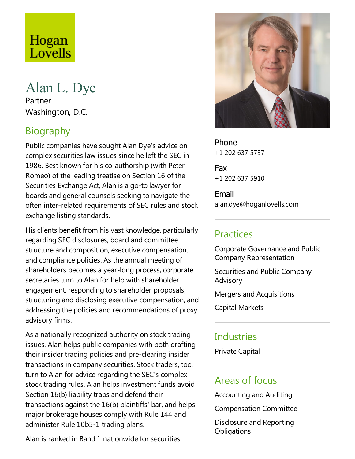# Hogan Lovells

# Alan L. Dye

Partner Washington, D.C.

# Biography

Public companies have sought Alan Dye's advice on complex securities law issues since heleft the SEC in 1986. Best known for his co-authorship (with Peter Romeo) of the leading treatise on Section 16 of the Securities Exchange Act, Alan is a go-to lawyer for boards and general counsels seeking to navigate the often inter-related requirements of SEC rules and stock exchange listing standards.

His clients benefit from his vast knowledge, particularly regarding SEC disclosures, board and committee structure and composition, executive compensation, and compliance policies. As the annual meeting of shareholders becomes a year-long process, corporate secretaries turn to Alan for help with shareholder engagement, responding to shareholder proposals, structuring and disclosing executive compensation, and addressing the policies and recommendations of proxy advisory firms.

As a nationally recognized authority on stock trading issues, Alan helps public companies with both drafting their insider trading policies and pre-clearing insider transactions in company securities. Stock traders, too, turn to Alan for advice regarding the SEC's complex stock trading rules. Alan helps investment funds avoid Section 16(b) liability traps and defend their transactions against the  $16(b)$  plaintiffs' bar, and helps major brokerage houses comply with Rule 144 and administer Rule 10b5-1 trading plans.

Alan is ranked in Band 1 nationwide for securities



Phone +1 202 637 5737

Fax +1 202 637 5910

Email alan.dye@hoganlovells.com

# **Practices**

Corporate Governanceand Public Company Representation

Securities and Public Company Advisory

Mergers and Acquisitions

Capital Markets

## **Industries**

Private Capital

## Areas of focus

Accounting and Auditing

Compensation Committee

Disclosure and Reporting **Obligations**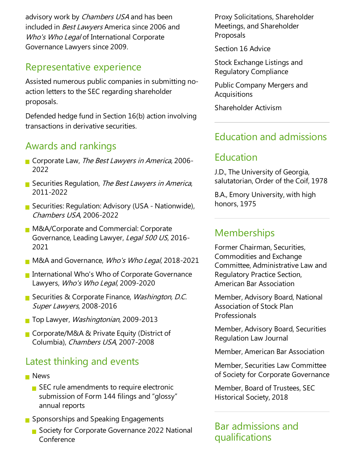advisory work by Chambers USA and has been included in *Best Lawyers* America since 2006 and Who's Who Legal of International Corporate Governance Lawyers since 2009.

# Representative experience

Assisted numerous public companies in submitting noaction letters to the SEC regarding shareholder proposals.

Defended hedge fund in Section  $16(b)$  action involving transactions in derivative securities.

#### Awards and rankings

- Corporate Law, The Best Lawyers in America, 2006-2022
- Securities Regulation, The Best Lawyers in America, 2011-2022
- Securities: Regulation: Advisory (USA Nationwide), Chambers USA, 2006-2022
- **M&A/Corporate and Commercial: Corporate** Governance, Leading Lawyer, Legal 500 US, 2016-2021
- **M&A and Governance, Who's Who Legal, 2018-2021**
- **International Who's Who of Corporate Governance** Lawyers, Who's Who Legal, 2009-2020
- Securities & Corporate Finance, Washington, D.C. Super Lawyers, 2008-2016
- **The Lawyer, Washingtonian, 2009-2013**
- Corporate/M&A & Private Equity (District of Columbia), Chambers USA, 2007-2008

# Latest thinking and events

- **News** 
	- $\blacksquare$  SEC rule amendments to require electronic submission of Form 144 filings and "glossy" annual reports
- Sponsorships and Speaking Engagements
	- Society for Corporate Governance 2022 National Conference

Proxy Solicitations, Shareholder Meetings, and Shareholder Proposals

Section 16 Advice

Stock Exchange Listings and Regulatory Compliance

Public Company Mergers and Acquisitions

Shareholder Activism

## Education and admissions

#### Education

J.D.,The University of Georgia, salutatorian, Order of the Coif, 1978

B.A.,Emory University, with high honors, 1975

## **Memberships**

Former Chairman, Securities, Commodities and Exchange Committee, AdministrativeLaw and Regulatory Practice Section, American Bar Association

Member, Advisory Board, National Association of Stock Plan Professionals

Member, Advisory Board, Securities Regulation Law Journal

Member, American Bar Association

Member, Securities Law Committee of Society for Corporate Governance

Member, Board of Trustees, SEC Historical Society, 2018

Bar admissions and qualifications